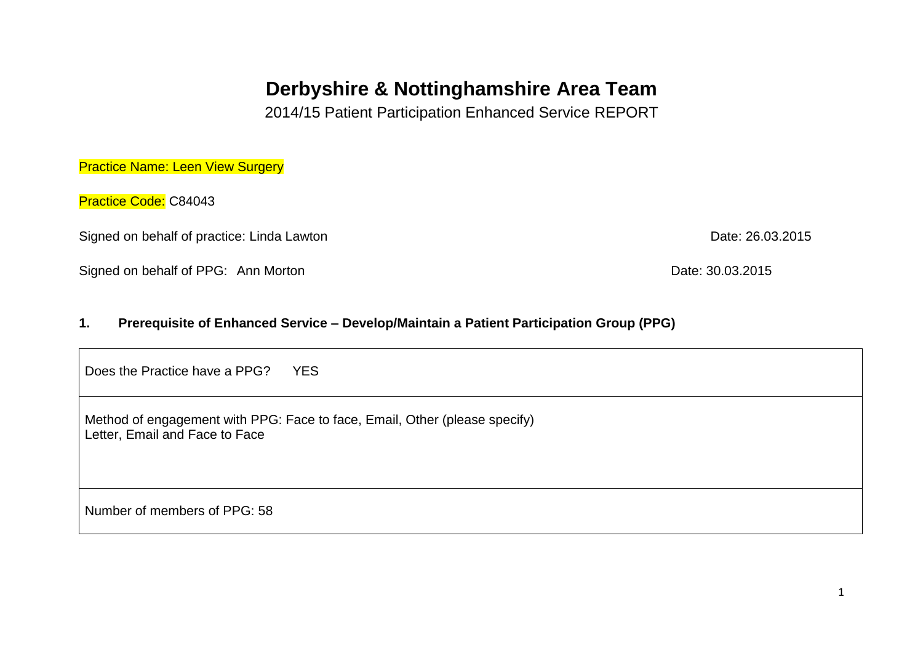# **Derbyshire & Nottinghamshire Area Team**

2014/15 Patient Participation Enhanced Service REPORT

**Practice Name: Leen View Surgery** 

Practice Code: C84043

Signed on behalf of practice: Linda Lawton Date: 26.03.2015

Signed on behalf of PPG: Ann Morton Date: 30.03.2015

#### **1. Prerequisite of Enhanced Service – Develop/Maintain a Patient Participation Group (PPG)**

Does the Practice have a PPG? YFS

Method of engagement with PPG: Face to face, Email, Other (please specify) Letter, Email and Face to Face

Number of members of PPG: 58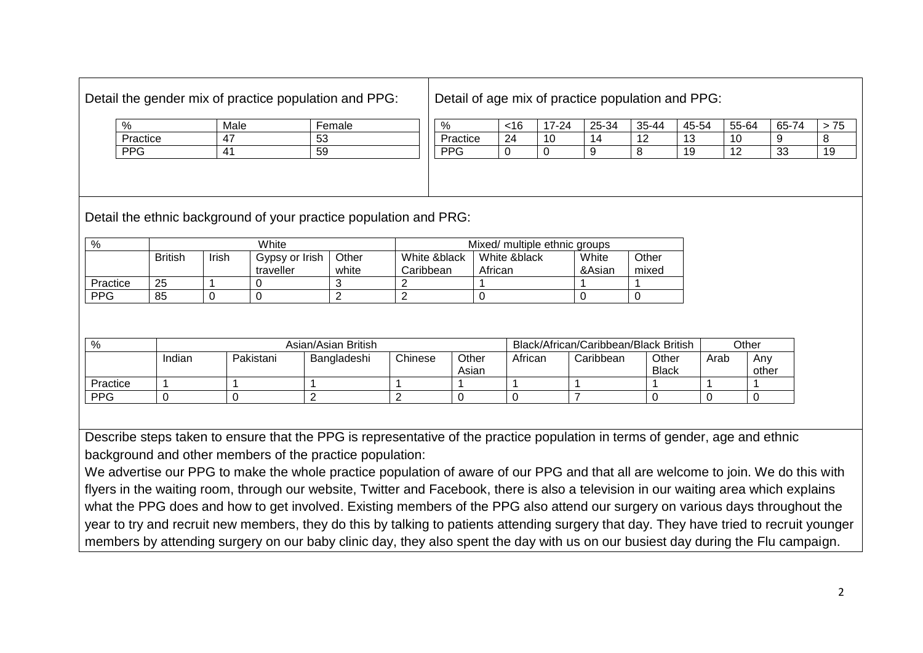## Detail the gender mix of practice population and PPG:

Detail of age mix of practice population and PPG:

| %        | Male          | Female |
|----------|---------------|--------|
| Practice | $A^{\dagger}$ | 53     |
| PPG      | 41            | 59     |
|          |               |        |

| %               | 16 | 7-24<br>⇁ | 25-34  | 35-44  | 45-54   | 55-64          | 65-74    | ີ  |
|-----------------|----|-----------|--------|--------|---------|----------------|----------|----|
| Practice        | 24 | 10        | 14     | $\sim$ | 10<br>◡ | 10             |          |    |
| DD <sub>C</sub> |    |           | q<br>ັ | Я      | 10<br>≂ | $\overline{ }$ | วว<br>აა | 19 |

Detail the ethnic background of your practice population and PRG:

| %          | White          |       |                             |                | Mixed/ multiple ethnic groups |                         |                 |                |
|------------|----------------|-------|-----------------------------|----------------|-------------------------------|-------------------------|-----------------|----------------|
|            | <b>British</b> | Irish | Gypsy or Irish<br>traveller | Other<br>white | White &black<br>Caribbean     | White &black<br>African | White<br>&Asian | Other<br>mixed |
| Practice   | 25             |       |                             |                |                               |                         |                 |                |
| <b>PPG</b> | 85             |       |                             |                |                               |                         |                 |                |

| %          | Asian/Asian British |           |             |         |                | Black/African/Caribbean/Black British |           |                       | Other |              |
|------------|---------------------|-----------|-------------|---------|----------------|---------------------------------------|-----------|-----------------------|-------|--------------|
|            | Indian              | Pakistani | Bangladeshi | Chinese | Other<br>Asian | African                               | Caribbean | Other<br><b>Black</b> | Arab  | Any<br>other |
| Practice   |                     |           |             |         |                |                                       |           |                       |       |              |
| <b>PPG</b> |                     |           |             |         |                |                                       |           |                       |       |              |

Describe steps taken to ensure that the PPG is representative of the practice population in terms of gender, age and ethnic background and other members of the practice population:

We advertise our PPG to make the whole practice population of aware of our PPG and that all are welcome to join. We do this with flyers in the waiting room, through our website, Twitter and Facebook, there is also a television in our waiting area which explains what the PPG does and how to get involved. Existing members of the PPG also attend our surgery on various days throughout the year to try and recruit new members, they do this by talking to patients attending surgery that day. They have tried to recruit younger members by attending surgery on our baby clinic day, they also spent the day with us on our busiest day during the Flu campaign.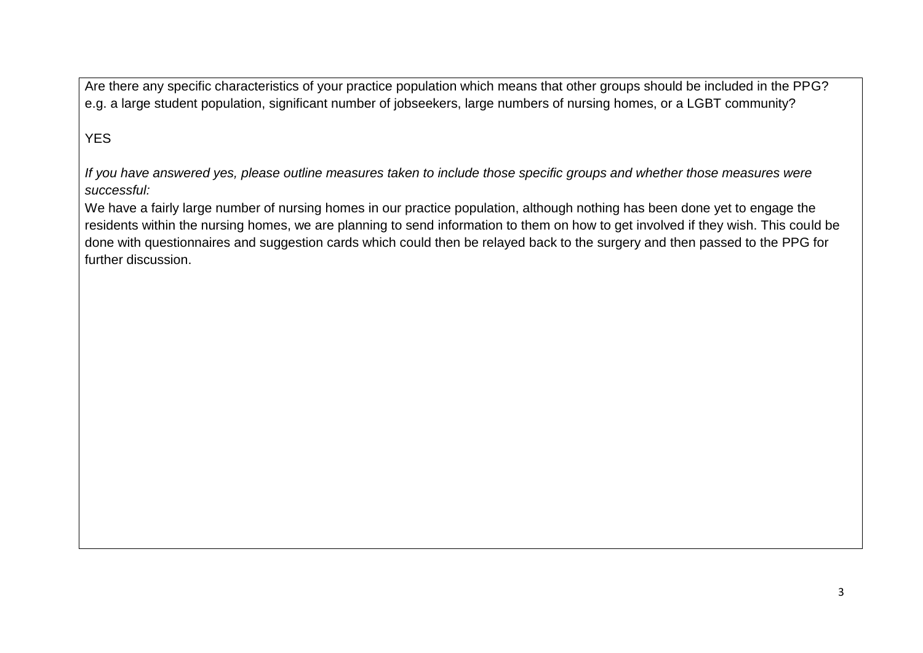Are there any specific characteristics of your practice population which means that other groups should be included in the PPG? e.g. a large student population, significant number of jobseekers, large numbers of nursing homes, or a LGBT community?

## YES

*If you have answered yes, please outline measures taken to include those specific groups and whether those measures were successful:*

We have a fairly large number of nursing homes in our practice population, although nothing has been done yet to engage the residents within the nursing homes, we are planning to send information to them on how to get involved if they wish. This could be done with questionnaires and suggestion cards which could then be relayed back to the surgery and then passed to the PPG for further discussion.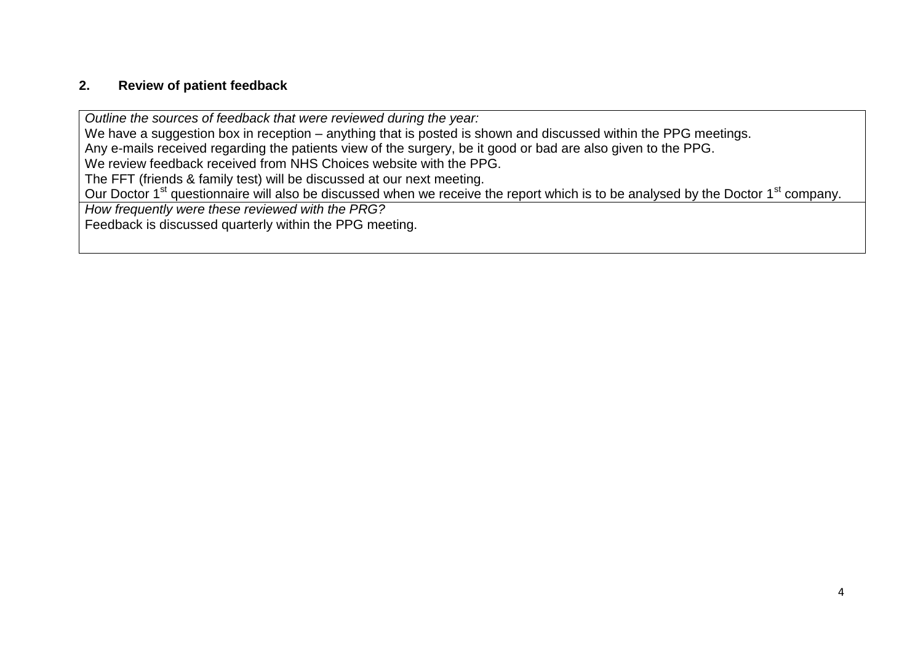## **2. Review of patient feedback**

*Outline the sources of feedback that were reviewed during the year:*

We have a suggestion box in reception – anything that is posted is shown and discussed within the PPG meetings.

Any e-mails received regarding the patients view of the surgery, be it good or bad are also given to the PPG.

We review feedback received from NHS Choices website with the PPG.

The FFT (friends & family test) will be discussed at our next meeting.

Our Doctor 1<sup>st</sup> questionnaire will also be discussed when we receive the report which is to be analysed by the Doctor 1<sup>st</sup> company.

*How frequently were these reviewed with the PRG?*

Feedback is discussed quarterly within the PPG meeting.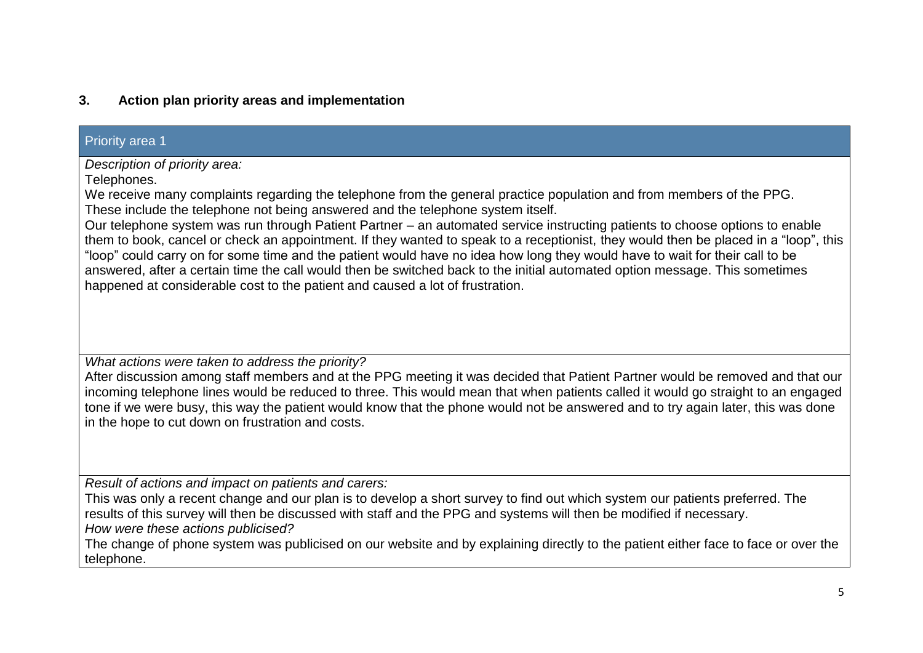## **3. Action plan priority areas and implementation**

#### Priority area 1

*Description of priority area:*

Telephones.

We receive many complaints regarding the telephone from the general practice population and from members of the PPG. These include the telephone not being answered and the telephone system itself.

Our telephone system was run through Patient Partner – an automated service instructing patients to choose options to enable them to book, cancel or check an appointment. If they wanted to speak to a receptionist, they would then be placed in a "loop", this "loop" could carry on for some time and the patient would have no idea how long they would have to wait for their call to be answered, after a certain time the call would then be switched back to the initial automated option message. This sometimes happened at considerable cost to the patient and caused a lot of frustration.

*What actions were taken to address the priority?*

After discussion among staff members and at the PPG meeting it was decided that Patient Partner would be removed and that our incoming telephone lines would be reduced to three. This would mean that when patients called it would go straight to an engaged tone if we were busy, this way the patient would know that the phone would not be answered and to try again later, this was done in the hope to cut down on frustration and costs.

*Result of actions and impact on patients and carers:*

This was only a recent change and our plan is to develop a short survey to find out which system our patients preferred. The results of this survey will then be discussed with staff and the PPG and systems will then be modified if necessary.

*How were these actions publicised?*

The change of phone system was publicised on our website and by explaining directly to the patient either face to face or over the telephone.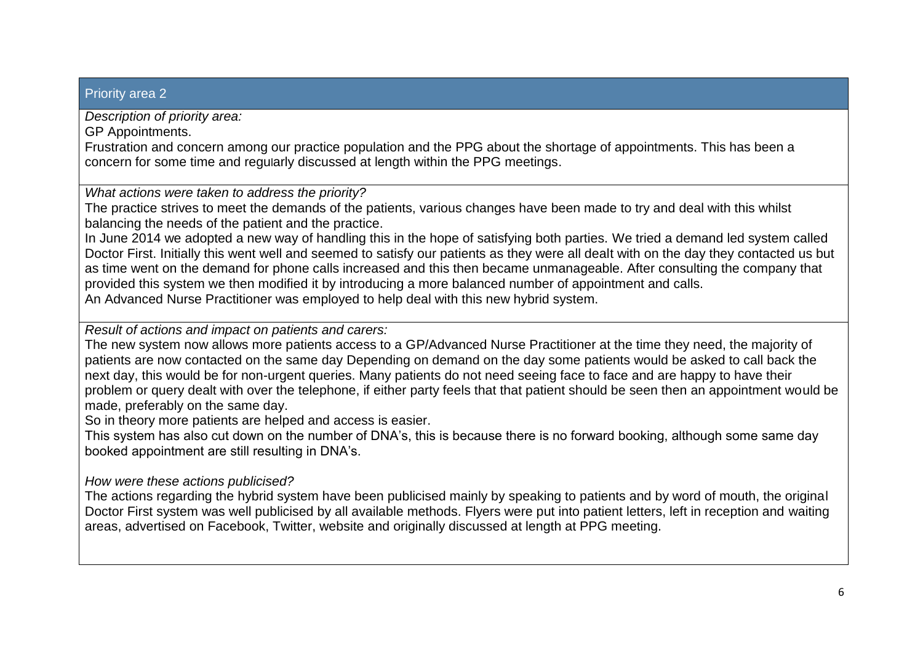#### Priority area 2

*Description of priority area:*

GP Appointments.

Frustration and concern among our practice population and the PPG about the shortage of appointments. This has been a concern for some time and regularly discussed at length within the PPG meetings.

*What actions were taken to address the priority?*

The practice strives to meet the demands of the patients, various changes have been made to try and deal with this whilst balancing the needs of the patient and the practice.

In June 2014 we adopted a new way of handling this in the hope of satisfying both parties. We tried a demand led system called Doctor First. Initially this went well and seemed to satisfy our patients as they were all dealt with on the day they contacted us but as time went on the demand for phone calls increased and this then became unmanageable. After consulting the company that provided this system we then modified it by introducing a more balanced number of appointment and calls. An Advanced Nurse Practitioner was employed to help deal with this new hybrid system.

*Result of actions and impact on patients and carers:*

The new system now allows more patients access to a GP/Advanced Nurse Practitioner at the time they need, the majority of patients are now contacted on the same day Depending on demand on the day some patients would be asked to call back the next day, this would be for non-urgent queries. Many patients do not need seeing face to face and are happy to have their problem or query dealt with over the telephone, if either party feels that that patient should be seen then an appointment would be made, preferably on the same day.

So in theory more patients are helped and access is easier.

This system has also cut down on the number of DNA's, this is because there is no forward booking, although some same day booked appointment are still resulting in DNA's.

*How were these actions publicised?*

The actions regarding the hybrid system have been publicised mainly by speaking to patients and by word of mouth, the original Doctor First system was well publicised by all available methods. Flyers were put into patient letters, left in reception and waiting areas, advertised on Facebook, Twitter, website and originally discussed at length at PPG meeting.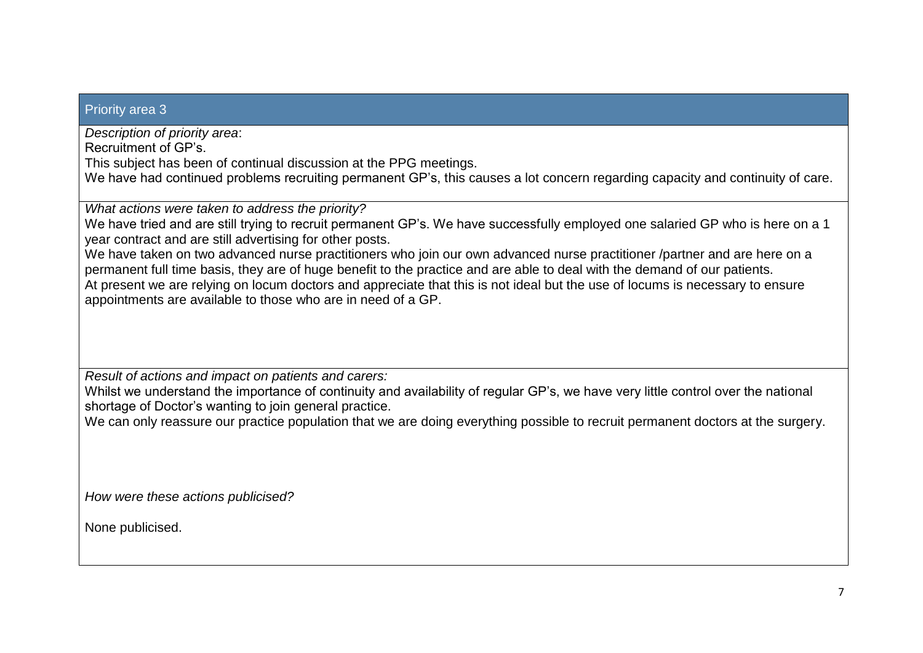#### Priority area 3

*Description of priority area*:

Recruitment of GP's.

This subject has been of continual discussion at the PPG meetings.

We have had continued problems recruiting permanent GP's, this causes a lot concern regarding capacity and continuity of care.

*What actions were taken to address the priority?*

We have tried and are still trying to recruit permanent GP's. We have successfully employed one salaried GP who is here on a 1 year contract and are still advertising for other posts.

We have taken on two advanced nurse practitioners who join our own advanced nurse practitioner /partner and are here on a permanent full time basis, they are of huge benefit to the practice and are able to deal with the demand of our patients. At present we are relying on locum doctors and appreciate that this is not ideal but the use of locums is necessary to ensure appointments are available to those who are in need of a GP.

*Result of actions and impact on patients and carers:*

Whilst we understand the importance of continuity and availability of regular GP's, we have very little control over the national shortage of Doctor's wanting to join general practice.

We can only reassure our practice population that we are doing everything possible to recruit permanent doctors at the surgery.

*How were these actions publicised?*

None publicised.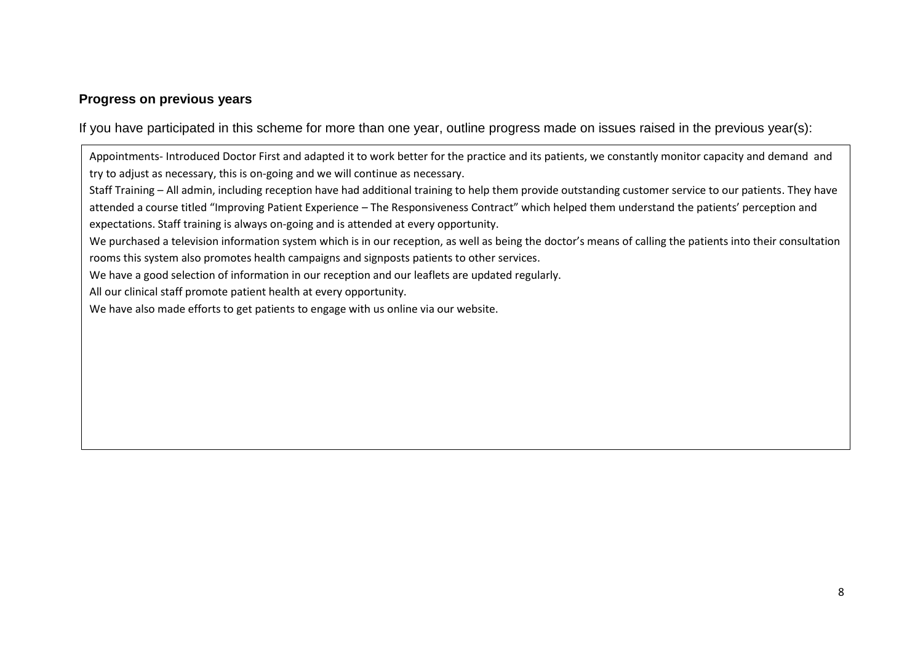### **Progress on previous years**

If you have participated in this scheme for more than one year, outline progress made on issues raised in the previous year(s):

Appointments- Introduced Doctor First and adapted it to work better for the practice and its patients, we constantly monitor capacity and demand and try to adjust as necessary, this is on-going and we will continue as necessary.

Staff Training – All admin, including reception have had additional training to help them provide outstanding customer service to our patients. They have attended a course titled "Improving Patient Experience – The Responsiveness Contract" which helped them understand the patients' perception and expectations. Staff training is always on-going and is attended at every opportunity.

We purchased a television information system which is in our reception, as well as being the doctor's means of calling the patients into their consultation rooms this system also promotes health campaigns and signposts patients to other services.

We have a good selection of information in our reception and our leaflets are updated regularly.

All our clinical staff promote patient health at every opportunity.

We have also made efforts to get patients to engage with us online via our website.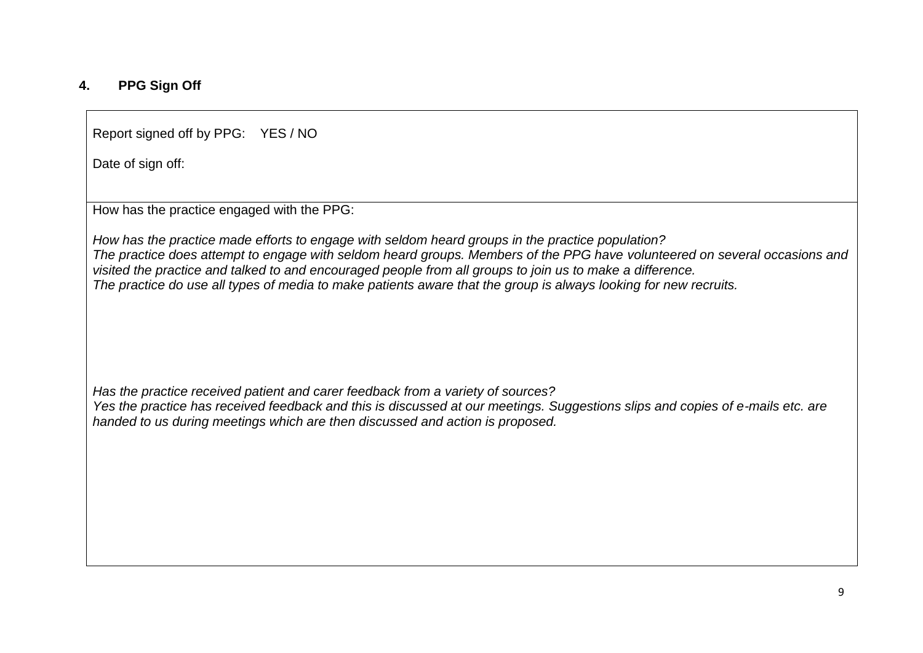## **4. PPG Sign Off**

Report signed off by PPG: YES / NO

Date of sign off:

How has the practice engaged with the PPG:

*How has the practice made efforts to engage with seldom heard groups in the practice population? The practice does attempt to engage with seldom heard groups. Members of the PPG have volunteered on several occasions and visited the practice and talked to and encouraged people from all groups to join us to make a difference. The practice do use all types of media to make patients aware that the group is always looking for new recruits.* 

*Has the practice received patient and carer feedback from a variety of sources?*

*Yes the practice has received feedback and this is discussed at our meetings. Suggestions slips and copies of e-mails etc. are handed to us during meetings which are then discussed and action is proposed.*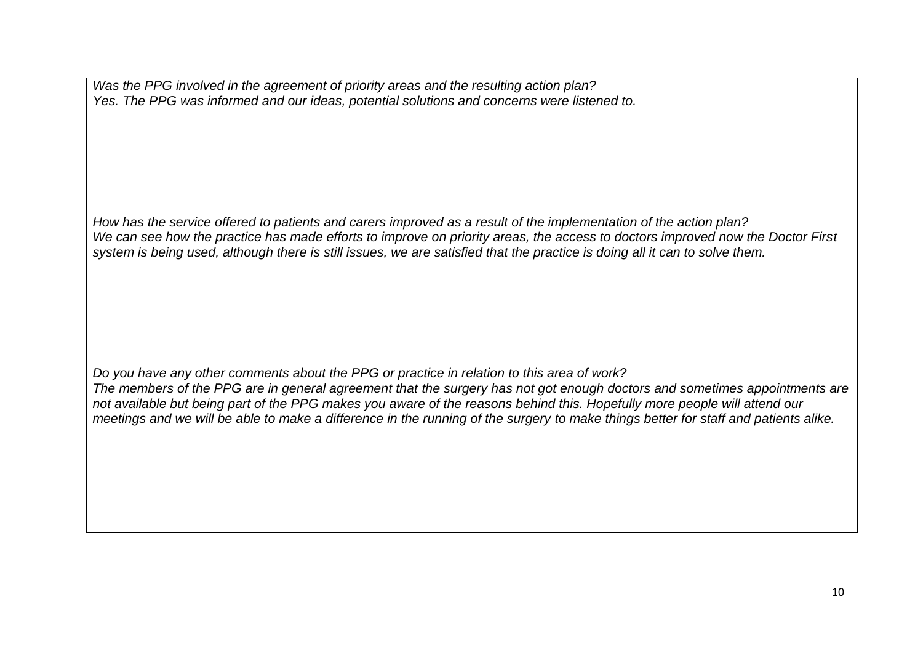*Was the PPG involved in the agreement of priority areas and the resulting action plan? Yes. The PPG was informed and our ideas, potential solutions and concerns were listened to.*

*How has the service offered to patients and carers improved as a result of the implementation of the action plan? We can see how the practice has made efforts to improve on priority areas, the access to doctors improved now the Doctor First system is being used, although there is still issues, we are satisfied that the practice is doing all it can to solve them.*

*Do you have any other comments about the PPG or practice in relation to this area of work? The members of the PPG are in general agreement that the surgery has not got enough doctors and sometimes appointments are not available but being part of the PPG makes you aware of the reasons behind this. Hopefully more people will attend our meetings and we will be able to make a difference in the running of the surgery to make things better for staff and patients alike.*